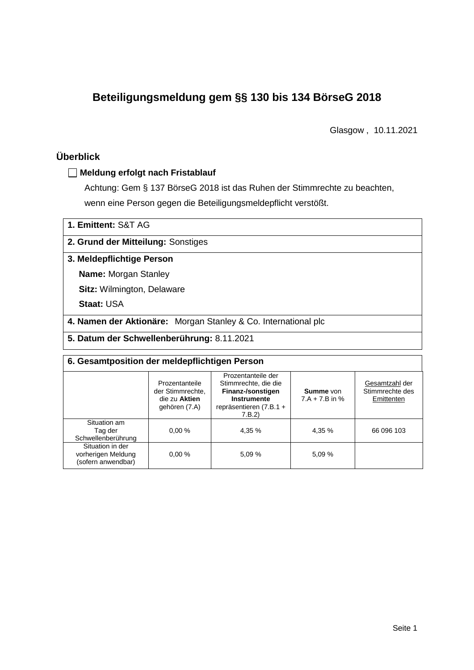# **Beteiligungsmeldung gem §§ 130 bis 134 BörseG 2018**

Glasgow , 10.11.2021

## **Überblick**

### **Meldung erfolgt nach Fristablauf**

Achtung: Gem § 137 BörseG 2018 ist das Ruhen der Stimmrechte zu beachten, wenn eine Person gegen die Beteiligungsmeldepflicht verstößt.

## **2. Grund der Mitteilung:** Sonstiges

### **3. Meldepflichtige Person**

**Name:** Morgan Stanley

**Sitz:** Wilmington, Delaware

**Staat:** USA

**4. Namen der Aktionäre:** Morgan Stanley & Co. International plc

**5. Datum der Schwellenberührung:** 8.11.2021

| 6. Gesamtposition der meldepflichtigen Person                |                                                                      |                                                                                                                      |                                      |                                                 |  |  |  |
|--------------------------------------------------------------|----------------------------------------------------------------------|----------------------------------------------------------------------------------------------------------------------|--------------------------------------|-------------------------------------------------|--|--|--|
|                                                              | Prozentanteile<br>der Stimmrechte.<br>die zu Aktien<br>gehören (7.A) | Prozentanteile der<br>Stimmrechte, die die<br>Finanz-/sonstigen<br>Instrumente<br>repräsentieren $(7.B.1 +$<br>7.B.2 | <b>Summe</b> von<br>$7.A + 7.B$ in % | Gesamtzahl der<br>Stimmrechte des<br>Emittenten |  |  |  |
| Situation am<br>Tag der<br>Schwellenberührung                | 0.00%                                                                | 4.35 %                                                                                                               | 4,35 %                               | 66 096 103                                      |  |  |  |
| Situation in der<br>vorherigen Meldung<br>(sofern anwendbar) | 0.00%                                                                | 5.09%                                                                                                                | 5.09 %                               |                                                 |  |  |  |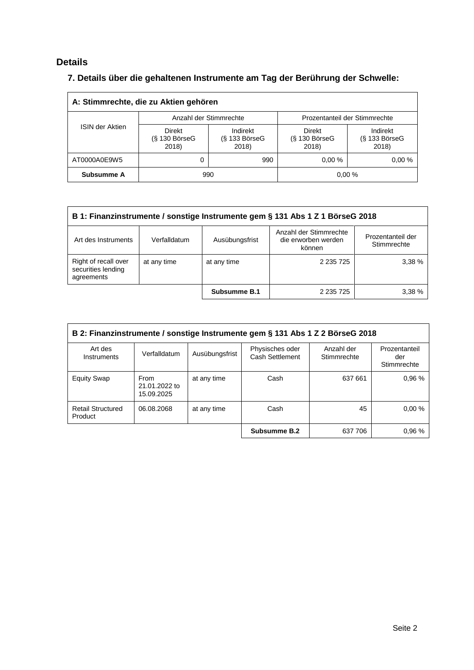# **Details**

# **7. Details über die gehaltenen Instrumente am Tag der Berührung der Schwelle:**

| A: Stimmrechte, die zu Aktien gehören |                                                              |                        |                                    |                                    |  |  |
|---------------------------------------|--------------------------------------------------------------|------------------------|------------------------------------|------------------------------------|--|--|
|                                       |                                                              | Anzahl der Stimmrechte | Prozentanteil der Stimmrechte      |                                    |  |  |
|                                       | <b>ISIN der Aktien</b><br>Direkt<br>$(S$ 130 BörseG<br>2018) |                        | Direkt<br>$(S$ 130 BörseG<br>2018) | Indirekt<br>(§ 133 BörseG<br>2018) |  |  |
| AT0000A0E9W5                          |                                                              | 990                    | 0.00%                              | 0.00%                              |  |  |
| Subsumme A                            |                                                              | 990                    |                                    | 0.00%                              |  |  |

| B 1: Finanzinstrumente / sonstige Instrumente gem § 131 Abs 1 Z 1 BörseG 2018 |                                                         |                                  |             |        |
|-------------------------------------------------------------------------------|---------------------------------------------------------|----------------------------------|-------------|--------|
| Art des Instruments                                                           | Anzahl der Stimmrechte<br>die erworben werden<br>können | Prozentanteil der<br>Stimmrechte |             |        |
| Right of recall over<br>securities lending<br>agreements                      | at any time                                             | at any time                      | 2 2 3 7 2 5 | 3.38%  |
|                                                                               |                                                         | Subsumme B.1                     | 2 235 725   | 3.38 % |

| B 2: Finanzinstrumente / sonstige Instrumente gem § 131 Abs 1 Z 2 BörseG 2018 |                                     |                |                                    |                           |                                     |
|-------------------------------------------------------------------------------|-------------------------------------|----------------|------------------------------------|---------------------------|-------------------------------------|
| Art des<br>Instruments                                                        | Verfalldatum                        | Ausübungsfrist | Physisches oder<br>Cash Settlement | Anzahl der<br>Stimmrechte | Prozentanteil<br>der<br>Stimmrechte |
| <b>Equity Swap</b>                                                            | From<br>21.01.2022 to<br>15.09.2025 | at any time    | Cash                               | 637 661                   | 0.96%                               |
| <b>Retail Structured</b><br>Product                                           | 06.08.2068                          | at any time    | Cash                               | 45                        | 0.00%                               |
|                                                                               |                                     |                | Subsumme B.2                       | 637 706                   | 0.96%                               |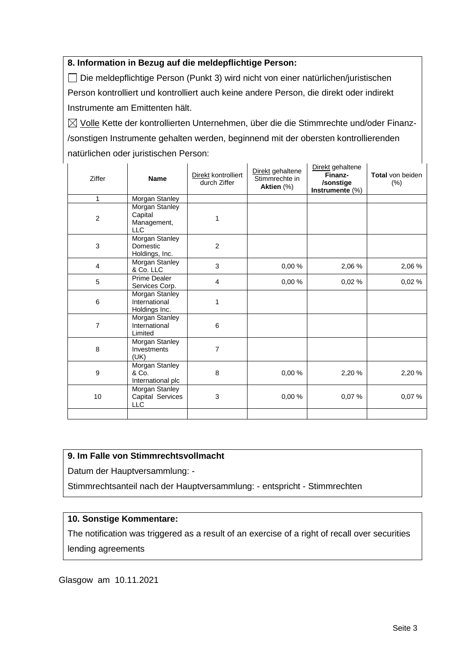### **8. Information in Bezug auf die meldepflichtige Person:**

Die meldepflichtige Person (Punkt 3) wird nicht von einer natürlichen/juristischen Person kontrolliert und kontrolliert auch keine andere Person, die direkt oder indirekt Instrumente am Emittenten hält.

 $\boxtimes$  Volle Kette der kontrollierten Unternehmen, über die die Stimmrechte und/oder Finanz-/sonstigen Instrumente gehalten werden, beginnend mit der obersten kontrollierenden natürlichen oder juristischen Person:

| Ziffer         | <b>Name</b>                                            | Direkt kontrolliert<br>durch Ziffer | Direkt gehaltene<br>Stimmrechte in<br>Aktien $(\%)$ | Direkt gehaltene<br>Finanz-<br>/sonstige<br>Instrumente (%) | Total von beiden<br>$(\%)$ |
|----------------|--------------------------------------------------------|-------------------------------------|-----------------------------------------------------|-------------------------------------------------------------|----------------------------|
| $\mathbf{1}$   | <b>Morgan Stanley</b>                                  |                                     |                                                     |                                                             |                            |
| $\overline{c}$ | Morgan Stanley<br>Capital<br>Management,<br><b>LLC</b> | 1                                   |                                                     |                                                             |                            |
| $\mathbf{3}$   | <b>Morgan Stanley</b><br>Domestic<br>Holdings, Inc.    | $\overline{2}$                      |                                                     |                                                             |                            |
| $\overline{4}$ | Morgan Stanley<br>& Co. LLC                            | 3                                   | 0,00 %                                              | 2,06 %                                                      | 2,06 %                     |
| 5              | Prime Dealer<br>Services Corp.                         | $\overline{\mathbf{4}}$             | 0.00%                                               | 0,02%                                                       | 0,02%                      |
| 6              | Morgan Stanley<br>International<br>Holdings Inc.       | 1                                   |                                                     |                                                             |                            |
| $\overline{7}$ | Morgan Stanley<br>International<br>Limited             | 6                                   |                                                     |                                                             |                            |
| 8              | Morgan Stanley<br>Investments<br>(UK)                  | 7                                   |                                                     |                                                             |                            |
| 9              | <b>Morgan Stanley</b><br>& Co.<br>International plc    | 8                                   | 0,00%                                               | 2,20 %                                                      | 2,20 %                     |
| 10             | Morgan Stanley<br>Capital Services<br><b>LLC</b>       | 3                                   | 0.00%                                               | 0.07%                                                       | 0.07%                      |
|                |                                                        |                                     |                                                     |                                                             |                            |

#### **9. Im Falle von Stimmrechtsvollmacht**

Datum der Hauptversammlung: -

Stimmrechtsanteil nach der Hauptversammlung: - entspricht - Stimmrechten

### **10. Sonstige Kommentare:**

The notification was triggered as a result of an exercise of a right of recall over securities lending agreements

Glasgow am 10.11.2021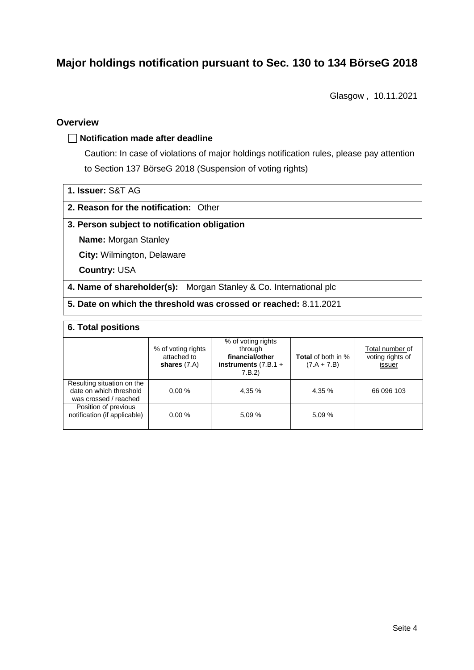# **Major holdings notification pursuant to Sec. 130 to 134 BörseG 2018**

Glasgow , 10.11.2021

### **Overview**

#### **Notification made after deadline**

Caution: In case of violations of major holdings notification rules, please pay attention to Section 137 BörseG 2018 (Suspension of voting rights)

| 1. Issuer: S&T AG |  |
|-------------------|--|
|                   |  |

#### **2. Reason for the notification:** Other

#### **3. Person subject to notification obligation**

**Name:** Morgan Stanley

**City:** Wilmington, Delaware

**Country:** USA

**4. Name of shareholder(s):** Morgan Stanley & Co. International plc

**5. Date on which the threshold was crossed or reached:** 8.11.2021

### **6. Total positions**

|                                                                                | % of voting rights<br>attached to<br>shares $(7.A)$ | % of voting rights<br>through<br>financial/other<br>instruments $(7.B.1 +$<br>7.B.2 | <b>Total</b> of both in %<br>$(7.A + 7.B)$ | Total number of<br>voting rights of<br>issuer |  |  |
|--------------------------------------------------------------------------------|-----------------------------------------------------|-------------------------------------------------------------------------------------|--------------------------------------------|-----------------------------------------------|--|--|
| Resulting situation on the<br>date on which threshold<br>was crossed / reached | 0.00%                                               | 4.35 %                                                                              | 4.35 %                                     | 66 096 103                                    |  |  |
| Position of previous<br>notification (if applicable)                           | 0.00%                                               | 5.09 %                                                                              | 5.09%                                      |                                               |  |  |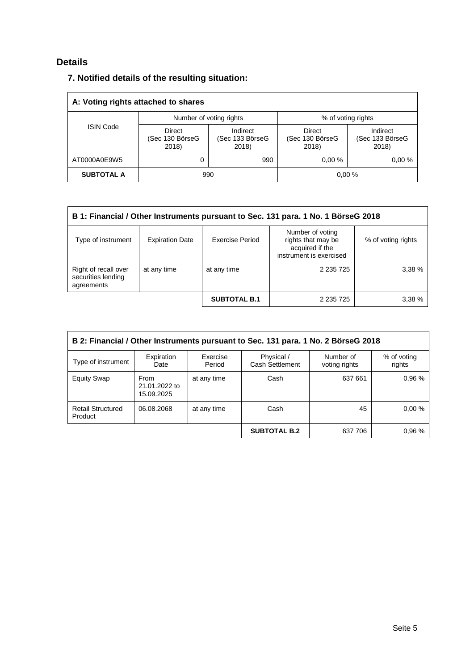## **Details**

## **7. Notified details of the resulting situation:**

| A: Voting rights attached to shares |                                    |                                      |                                    |                                      |  |
|-------------------------------------|------------------------------------|--------------------------------------|------------------------------------|--------------------------------------|--|
|                                     | Number of voting rights            |                                      | % of voting rights                 |                                      |  |
| <b>ISIN Code</b>                    | Direct<br>(Sec 130 BörseG<br>2018) | Indirect<br>(Sec 133 BörseG<br>2018) | Direct<br>(Sec 130 BörseG<br>2018) | Indirect<br>(Sec 133 BörseG<br>2018) |  |
| AT0000A0E9W5                        | 0                                  | 990                                  | 0.00%                              | 0.00%                                |  |
| <b>SUBTOTAL A</b>                   | 990                                |                                      |                                    | 0.00%                                |  |

| B 1: Financial / Other Instruments pursuant to Sec. 131 para. 1 No. 1 BörseG 2018                                                                                             |             |                     |             |        |  |  |
|-------------------------------------------------------------------------------------------------------------------------------------------------------------------------------|-------------|---------------------|-------------|--------|--|--|
| Number of voting<br>rights that may be<br>Type of instrument<br>Exercise Period<br><b>Expiration Date</b><br>% of voting rights<br>acquired if the<br>instrument is exercised |             |                     |             |        |  |  |
| Right of recall over<br>securities lending<br>agreements                                                                                                                      | at any time | at any time         | 2 2 3 7 2 5 | 3,38 % |  |  |
|                                                                                                                                                                               |             | <b>SUBTOTAL B.1</b> | 2 2 3 7 2 5 | 3,38 % |  |  |

| B 2: Financial / Other Instruments pursuant to Sec. 131 para. 1 No. 2 BörseG 2018 |                                     |                    |                               |                            |                       |
|-----------------------------------------------------------------------------------|-------------------------------------|--------------------|-------------------------------|----------------------------|-----------------------|
| Type of instrument                                                                | Expiration<br>Date                  | Exercise<br>Period | Physical /<br>Cash Settlement | Number of<br>voting rights | % of voting<br>rights |
| <b>Equity Swap</b>                                                                | From<br>21.01.2022 to<br>15.09.2025 | at any time        | Cash                          | 637 661                    | 0.96%                 |
| <b>Retail Structured</b><br>Product                                               | 06.08.2068                          | at any time        | Cash                          | 45                         | 0.00%                 |
|                                                                                   |                                     |                    | <b>SUBTOTAL B.2</b>           | 637 706                    | 0.96 %                |